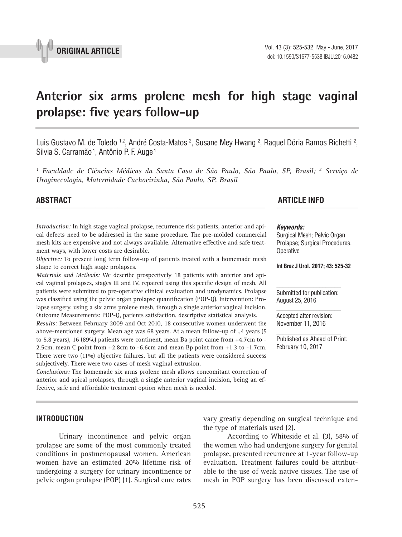

# **Anterior six arms prolene mesh for high stage vaginal prolapse: five years follow-up p** *p i <u>p</u> <i>i i i <i>i <i>i <i>i <i><i>i <i>i <i><i>i <i><i>i <i><i>i <i><i>i <i><i>i <i>i*</del> *<i><i>i <i>i <i>i <i>i <i>i <i>i*</del> *<i>i <i>i <i>i*</del> *<i>i <i>i <i>i <i>i <i>i*

Luis Gustavo M. de Toledo <sup>1,2</sup>, André Costa-Matos <sup>2</sup>, Susane Mey Hwang <sup>2</sup>, Raquel Dória Ramos Richetti <sup>2</sup>, Silvia S. Carramão<sup>1</sup>, Antônio P. F. Auge<sup>1</sup>

*1 Faculdade de Ciências Médicas da Santa Casa de São Paulo, São Paulo, SP, Brasil; 2 Serviço de Uroginecologia, Maternidade Cachoeirinha, São Paulo, SP, Brasil*

*Introduction:* In high stage vaginal prolapse, recurrence risk patients, anterior and apical defects need to be addressed in the same procedure. The pre-molded commercial mesh kits are expensive and not always available. Alternative effective and safe treatment ways, with lower costs are desirable.

*Objective:* To present long term follow-up of patients treated with a homemade mesh shape to correct high stage prolapses.

*Materials and Methods:* We describe prospectively 18 patients with anterior and apical vaginal prolapses, stages III and IV, repaired using this specific design of mesh. All patients were submitted to pre-operative clinical evaluation and urodynamics. Prolapse was classified using the pelvic organ prolapse quantification (POP-Q). Intervention: Prolapse surgery, using a six arms prolene mesh, through a single anterior vaginal incision. Outcome Measurements: POP-Q, patients satisfaction, descriptive statistical analysis.

*Results:* Between February 2009 and Oct 2010, 18 consecutive women underwent the above-mentioned surgery. Mean age was 68 years. At a mean follow-up of .,4 years (5 to 5.8 years), 16 (89%) patients were continent, mean Ba point came from +4.7cm to - 2.5cm, mean C point from +2.8cm to -6.6cm and mean Bp point from +1.3 to -1.7cm. There were two (11%) objective failures, but all the patients were considered success subjectively. There were two cases of mesh vaginal extrusion.

*Conclusions:* The homemade six arms prolene mesh allows concomitant correction of anterior and apical prolapses, through a single anterior vaginal incision, being an effective, safe and affordable treatment option when mesh is needed.

# **ABSTRACT ARTICLE INFO** *\_\_\_\_\_\_\_\_\_\_\_\_\_\_\_\_\_\_\_\_\_\_\_\_\_\_\_\_\_\_\_\_\_\_\_\_\_\_\_\_\_\_\_\_\_\_\_\_\_\_\_\_\_\_\_\_\_\_\_\_\_\_ \_\_\_\_\_\_\_\_\_\_\_\_\_\_\_\_\_\_\_\_\_\_*

#### *Keywords:*

Surgical Mesh; Pelvic Organ Prolapse; Surgical Procedures, **Operative** 

**Int Braz J Urol. 2017; 43: 525-32**

Submitted for publication: August 25, 2016

Accepted after revision: November 11, 2016

Published as Ahead of Print: February 10, 2017

# **INTRODUCTION**

Urinary incontinence and pelvic organ prolapse are some of the most commonly treated conditions in postmenopausal women. American women have an estimated 20% lifetime risk of undergoing a surgery for urinary incontinence or pelvic organ prolapse (POP) (1). Surgical cure rates vary greatly depending on surgical technique and the type of materials used (2).

According to Whiteside et al. (3), 58% of the women who had undergone surgery for genital prolapse, presented recurrence at 1-year follow-up evaluation. Treatment failures could be attributable to the use of weak native tissues. The use of mesh in POP surgery has been discussed exten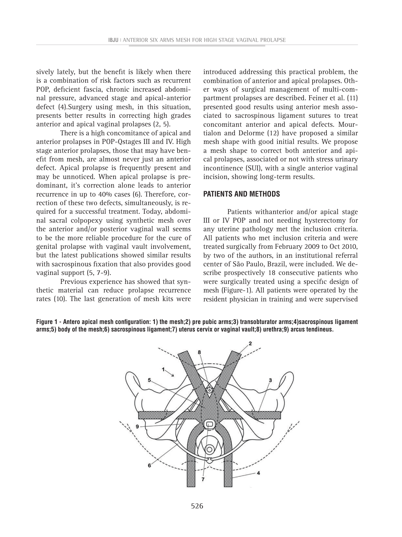sively lately, but the benefit is likely when there is a combination of risk factors such as recurrent POP, deficient fascia, chronic increased abdominal pressure, advanced stage and apical-anterior defect (4).Surgery using mesh, in this situation, presents better results in correcting high grades anterior and apical vaginal prolapses (2, 5).

There is a high concomitance of apical and anterior prolapses in POP-Qstages III and IV. High stage anterior prolapses, those that may have benefit from mesh, are almost never just an anterior defect. Apical prolapse is frequently present and may be unnoticed. When apical prolapse is predominant, it's correction alone leads to anterior recurrence in up to 40% cases (6). Therefore, correction of these two defects, simultaneously, is required for a successful treatment. Today, abdominal sacral colpopexy using synthetic mesh over the anterior and/or posterior vaginal wall seems to be the more reliable procedure for the cure of genital prolapse with vaginal vault involvement, but the latest publications showed similar results with sacrospinous fixation that also provides good vaginal support (5, 7-9).

Previous experience has showed that synthetic material can reduce prolapse recurrence rates (10). The last generation of mesh kits were introduced addressing this practical problem, the combination of anterior and apical prolapses. Other ways of surgical management of multi-compartment prolapses are described. Feiner et al. (11) presented good results using anterior mesh associated to sacrospinous ligament sutures to treat concomitant anterior and apical defects. Mourtialon and Delorme (12) have proposed a similar mesh shape with good initial results. We propose a mesh shape to correct both anterior and apical prolapses, associated or not with stress urinary incontinence (SUI), with a single anterior vaginal incision, showing long-term results.

### **Patients and Methods**

Patients withanterior and/or apical stage III or IV POP and not needing hysterectomy for any uterine pathology met the inclusion criteria. All patients who met inclusion criteria and were treated surgically from February 2009 to Oct 2010, by two of the authors, in an institutional referral center of São Paulo, Brazil, were included. We describe prospectively 18 consecutive patients who were surgically treated using a specific design of mesh (Figure-1). All patients were operated by the resident physician in training and were supervised



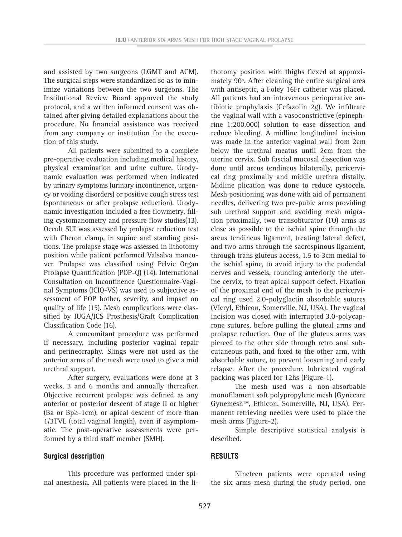and assisted by two surgeons (LGMT and ACM). The surgical steps were standardized so as to minimize variations between the two surgeons. The Institutional Review Board approved the study protocol, and a written informed consent was obtained after giving detailed explanations about the procedure. No financial assistance was received from any company or institution for the execution of this study.

All patients were submitted to a complete pre-operative evaluation including medical history, physical examination and urine culture. Urodynamic evaluation was performed when indicated by urinary symptoms (urinary incontinence, urgency or voiding disorders) or positive cough stress test (spontaneous or after prolapse reduction). Urodynamic investigation included a free flowmetry, filling cystomanometry and pressure flow studies(13). Occult SUI was assessed by prolapse reduction test with Cheron clamp, in supine and standing positions. The prolapse stage was assessed in lithotomy position while patient performed Valsalva maneuver. Prolapse was classified using Pelvic Organ Prolapse Quantification (POP-Q) (14). International Consultation on Incontinence Questionnaire-Vaginal Symptoms (ICIQ-VS) was used to subjective assessment of POP bother, severity, and impact on quality of life (15). Mesh complications were classified by IUGA/ICS Prosthesis/Graft Complication Classification Code (16).

A concomitant procedure was performed if necessary, including posterior vaginal repair and perineorraphy. Slings were not used as the anterior arms of the mesh were used to give a mid urethral support.

After surgery, evaluations were done at 3 weeks, 3 and 6 months and annually thereafter. Objective recurrent prolapse was defined as any anterior or posterior descent of stage II or higher (Ba or Bp≥-1cm), or apical descent of more than 1/3TVL (total vaginal length), even if asymptomatic. The post-operative assessments were performed by a third staff member (SMH).

### **Surgical description**

This procedure was performed under spinal anesthesia. All patients were placed in the li-

thotomy position with thighs flexed at approximately 90º. After cleaning the entire surgical area with antiseptic, a Foley 16Fr catheter was placed. All patients had an intravenous perioperative antibiotic prophylaxis (Cefazolin 2g). We infiltrate the vaginal wall with a vasoconstrictive (epinephrine 1:200.000) solution to ease dissection and reduce bleeding. A midline longitudinal incision was made in the anterior vaginal wall from 2cm below the urethral meatus until 2cm from the uterine cervix. Sub fascial mucosal dissection was done until arcus tendineus bilaterally, pericervical ring proximally and middle urethra distally. Midline plication was done to reduce cystocele. Mesh positioning was done with aid of permanent needles, delivering two pre-pubic arms providing sub urethral support and avoiding mesh migration proximally, two transobturator (TO) arms as close as possible to the ischial spine through the arcus tendineus ligament, treating lateral defect, and two arms through the sacrospinous ligament, through trans gluteus access, 1.5 to 3cm medial to the ischial spine, to avoid injury to the pudendal nerves and vessels, rounding anteriorly the uterine cervix, to treat apical support defect. Fixation of the proximal end of the mesh to the pericervical ring used 2.0-polyglactin absorbable sutures (Vicryl, Ethicon, Somerville, NJ, USA). The vaginal incision was closed with interrupted 3.0-polycaprone sutures, before pulling the gluteal arms and prolapse reduction. One of the gluteus arms was pierced to the other side through retro anal subcutaneous path, and fixed to the other arm, with absorbable suture, to prevent loosening and early relapse. After the procedure, lubricated vaginal packing was placed for 12hs (Figure-1).

The mesh used was a non-absorbable monofilament soft polypropylene mesh (Gynecare Gynemesh<sup>™</sup>, Ethicon, Somerville, NJ, USA). Permanent retrieving needles were used to place the mesh arms (Figure-2).

Simple descriptive statistical analysis is described.

#### **RESULTS**

Nineteen patients were operated using the six arms mesh during the study period, one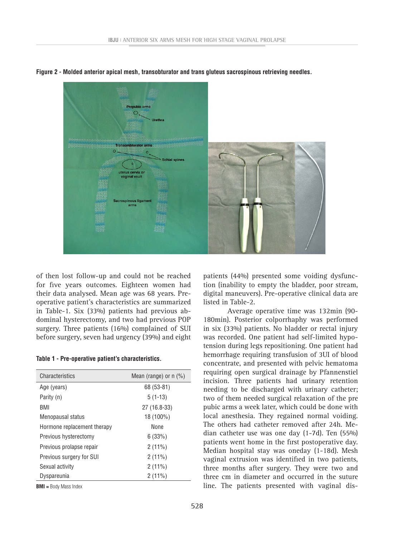

**Figure 2 - Molded anterior apical mesh, transobturator and trans gluteus sacrospinous retrieving needles.**

of then lost follow-up and could not be reached for five years outcomes. Eighteen women had their data analysed. Mean age was 68 years. Preoperative patient's characteristics are summarized in Table-1. Six (33%) patients had previous abdominal hysterectomy, and two had previous POP surgery. Three patients (16%) complained of SUI before surgery, seven had urgency (39%) and eight

|  |  |  | Table 1 - Pre-operative patient's characteristics. |
|--|--|--|----------------------------------------------------|
|--|--|--|----------------------------------------------------|

| Characteristics             | Mean (range) or $n$ (%) |  |  |  |
|-----------------------------|-------------------------|--|--|--|
| Age (years)                 | 68 (53-81)              |  |  |  |
| Parity (n)                  | $5(1-13)$               |  |  |  |
| BMI                         | 27 (16.8-33)            |  |  |  |
| Menopausal status           | 18 (100%)               |  |  |  |
| Hormone replacement therapy | None                    |  |  |  |
| Previous hysterectomy       | 6(33%)                  |  |  |  |
| Previous prolapse repair    | $2(11\%)$               |  |  |  |
| Previous surgery for SUI    | $2(11\%)$               |  |  |  |
| Sexual activity             | $2(11\%)$               |  |  |  |
| Dyspareunia                 | $2(11\%)$               |  |  |  |
| .                           |                         |  |  |  |

**BMI =** Body Mass Index

patients (44%) presented some voiding dysfunction (inability to empty the bladder, poor stream, digital maneuvers). Pre-operative clinical data are listed in Table-2.

Average operative time was 132min (90- 180min). Posterior colporrhaphy was performed in six (33%) patients. No bladder or rectal injury was recorded. One patient had self-limited hypotension during legs repositioning. One patient had hemorrhage requiring transfusion of 3UI of blood concentrate, and presented with pelvic hematoma requiring open surgical drainage by Pfannenstiel incision. Three patients had urinary retention needing to be discharged with urinary catheter; two of them needed surgical relaxation of the pre pubic arms a week later, which could be done with local anesthesia. They regained normal voiding. The others had catheter removed after 24h. Median catheter use was one day (1-7d). Ten (55%) patients went home in the first postoperative day. Median hospital stay was oneday (1-18d). Mesh vaginal extrusion was identified in two patients, three months after surgery. They were two and three cm in diameter and occurred in the suture line. The patients presented with vaginal dis-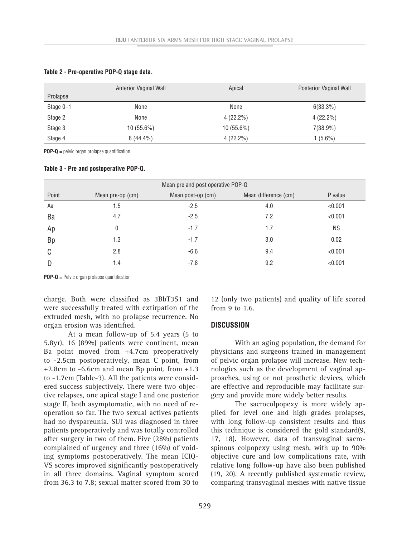|           | Anterior Vaginal Wall | Apical       | Posterior Vaginal Wall |
|-----------|-----------------------|--------------|------------------------|
| Prolapse  |                       |              |                        |
| Stage 0-1 | None                  | None         | 6(33.3%)               |
| Stage 2   | None                  | $4(22.2\%)$  | $4(22.2\%)$            |
| Stage 3   | $10(55.6\%)$          | $10(55.6\%)$ | $7(38.9\%)$            |
| Stage 4   | $8(44.4\%)$           | $4(22.2\%)$  | $1(5.6\%)$             |

#### **Table 2 - Pre-operative POP-Q stage data.**

**POP-Q =** pelvic organ prolapse quantification

#### **Table 3 - Pre and postoperative POP-Q.**

| Mean pre and post operative POP-Q |                  |                   |                      |           |  |  |
|-----------------------------------|------------------|-------------------|----------------------|-----------|--|--|
| Point                             | Mean pre-op (cm) | Mean post-op (cm) | Mean difference (cm) | P value   |  |  |
| Aa                                | 1.5              | $-2.5$            | 4.0                  | < 0.001   |  |  |
| Ba                                | 4.7              | $-2.5$            | 7.2                  | < 0.001   |  |  |
| Ap                                | 0                | $-1.7$            | 1.7                  | <b>NS</b> |  |  |
| <b>Bp</b>                         | 1.3              | $-1.7$            | 3.0                  | 0.02      |  |  |
| C                                 | 2.8              | $-6.6$            | 9.4                  | < 0.001   |  |  |
| D                                 | 1.4              | $-7.8$            | 9.2                  | < 0.001   |  |  |

**POP-Q =** Pelvic organ prolapse quantification

charge. Both were classified as 3BbT3S1 and were successfully treated with extirpation of the extruded mesh, with no prolapse recurrence. No organ erosion was identified.

At a mean follow-up of 5.4 years (5 to 5.8yr), 16 (89%) patients were continent, mean Ba point moved from +4.7cm preoperatively to -2.5cm postoperatively, mean C point, from +2.8cm to -6.6cm and mean Bp point, from +1.3 to -1.7cm (Table-3). All the patients were considered success subjectively. There were two objective relapses, one apical stage I and one posterior stage II, both asymptomatic, with no need of reoperation so far. The two sexual actives patients had no dyspareunia. SUI was diagnosed in three patients preoperatively and was totally controlled after surgery in two of them. Five (28%) patients complained of urgency and three (16%) of voiding symptoms postoperatively. The mean ICIQ-VS scores improved significantly postoperatively in all three domains. Vaginal symptom scored from 36.3 to 7.8; sexual matter scored from 30 to 12 (only two patients) and quality of life scored from 9 to 1.6.

#### **DISCUSSION**

With an aging population, the demand for physicians and surgeons trained in management of pelvic organ prolapse will increase. New technologies such as the development of vaginal approaches, using or not prosthetic devices, which are effective and reproducible may facilitate surgery and provide more widely better results.

The sacrocolpopexy is more widely applied for level one and high grades prolapses, with long follow-up consistent results and thus this technique is considered the gold standard(9, 17, 18). However, data of transvaginal sacrospinous colpopexy using mesh, with up to 90% objective cure and low complications rate, with relative long follow-up have also been published (19, 20). A recently published systematic review, comparing transvaginal meshes with native tissue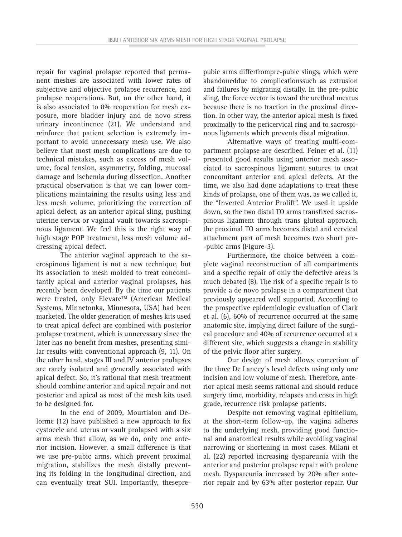repair for vaginal prolapse reported that permanent meshes are associated with lower rates of subjective and objective prolapse recurrence, and prolapse reoperations. But, on the other hand, it is also associated to 8% reoperation for mesh exposure, more bladder injury and de novo stress urinary incontinence (21). We understand and reinforce that patient selection is extremely important to avoid unnecessary mesh use. We also believe that most mesh complications are due to technical mistakes, such as excess of mesh volume, focal tension, asymmetry, folding, mucosal damage and ischemia during dissection. Another practical observation is that we can lower complications maintaining the results using less and less mesh volume, prioritizing the correction of apical defect, as an anterior apical sling, pushing uterine cervix or vaginal vault towards sacrospinous ligament. We feel this is the right way of high stage POP treatment, less mesh volume addressing apical defect.

The anterior vaginal approach to the sacrospinous ligament is not a new technique, but its association to mesh molded to treat concomitantly apical and anterior vaginal prolapses, has recently been developed. By the time our patients were treated, only Elevate<sup>™</sup> (American Medical Systems, Minnetonka, Minnesota, USA) had been marketed. The older generation of meshes kits used to treat apical defect are combined with posterior prolapse treatment, which is unnecessary since the later has no benefit from meshes, presenting similar results with conventional approach (9, 11). On the other hand, stages III and IV anterior prolapses are rarely isolated and generally associated with apical defect. So, it's rational that mesh treatment should combine anterior and apical repair and not posterior and apical as most of the mesh kits used to be designed for.

In the end of 2009, Mourtialon and Delorme (12) have published a new approach to fix cystocele and uterus or vault prolapsed with a six arms mesh that allow, as we do, only one anterior incision. However, a small difference is that we use pre-pubic arms, which prevent proximal migration, stabilizes the mesh distally preventing its folding in the longitudinal direction, and can eventually treat SUI. Importantly, theseprepubic arms differfrompre-pubic slings, which were abandoneddue to complicationssuch as extrusion and failures by migrating distally. In the pre-pubic sling, the force vector is toward the urethral meatus because there is no traction in the proximal direction. In other way, the anterior apical mesh is fixed proximally to the pericervical ring and to sacrospinous ligaments which prevents distal migration.

Alternative ways of treating multi-compartment prolapse are described. Feiner et al. (11) presented good results using anterior mesh associated to sacrospinous ligament sutures to treat concomitant anterior and apical defects. At the time, we also had done adaptations to treat these kinds of prolapse, one of them was, as we called it, the "Inverted Anterior Prolift". We used it upside down, so the two distal TO arms transfixed sacrospinous ligament through trans gluteal approach, the proximal TO arms becomes distal and cervical attachment part of mesh becomes two short pre- -pubic arms (Figure-3).

Furthermore, the choice between a complete vaginal reconstruction of all compartments and a specific repair of only the defective areas is much debated (8). The risk of a specific repair is to provide a de novo prolapse in a compartment that previously appeared well supported. According to the prospective epidemiologic evaluation of Clark et al. (6), 60% of recurrence occurred at the same anatomic site, implying direct failure of the surgical procedure and 40% of recurrence occurred at a different site, which suggests a change in stability of the pelvic floor after surgery.

Our design of mesh allows correction of the three De Lancey´s level defects using only one incision and low volume of mesh. Therefore, anterior apical mesh seems rational and should reduce surgery time, morbidity, relapses and costs in high grade, recurrence risk prolapse patients.

Despite not removing vaginal epithelium, at the short-term follow-up, the vagina adheres to the underlying mesh, providing good functional and anatomical results while avoiding vaginal narrowing or shortening in most cases. Milani et al. (22) reported increasing dyspareunia with the anterior and posterior prolapse repair with prolene mesh. Dyspareunia increased by 20% after anterior repair and by 63% after posterior repair. Our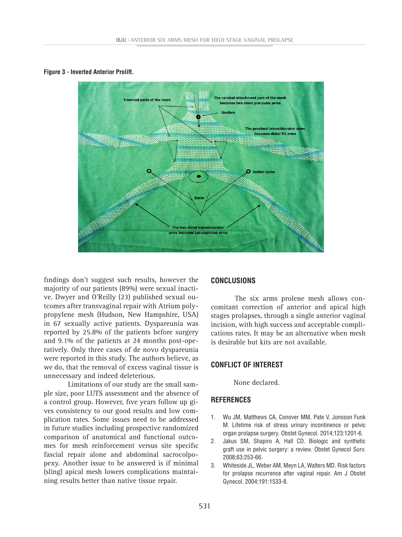**Figure 3 - Inverted Anterior Prolift.**



findings don't suggest such results, however the majority of our patients (89%) were sexual inactive. Dwyer and O'Reilly (23) published sexual outcomes after transvaginal repair with Atrium polypropylene mesh (Hudson, New Hampshire, USA) in 67 sexually active patients. Dyspareunia was reported by 25.8% of the patients before surgery and 9.1% of the patients at 24 months post-operatively. Only three cases of de novo dyspareunia were reported in this study. The authors believe, as we do, that the removal of excess vaginal tissue is unnecessary and indeed deleterious.

Limitations of our study are the small sample size, poor LUTS assessment and the absence of a control group. However, five years follow up gives consistency to our good results and low complication rates. Some issues need to be addressed in future studies including prospective randomized comparison of anatomical and functional outcomes for mesh reinforcement versus site specific fascial repair alone and abdominal sacrocolpopexy. Another issue to be answered is if minimal (sling) apical mesh lowers complications maintaining results better than native tissue repair.

## **CONCLUSIONS**

The six arms prolene mesh allows concomitant correction of anterior and apical high stages prolapses, through a single anterior vaginal incision, with high success and acceptable complications rates. It may be an alternative when mesh is desirable but kits are not available.

## **CONFLICT OF INTEREST**

None declared.

### **REFERENCES**

- 1. Wu JM, Matthews CA, Conover MM, Pate V, Jonsson Funk M. Lifetime risk of stress urinary incontinence or pelvic organ prolapse surgery. Obstet Gynecol. 2014;123:1201-6.
- 2. Jakus SM, Shapiro A, Hall CD. Biologic and synthetic graft use in pelvic surgery: a review. Obstet Gynecol Surv. 2008;63:253-66.
- 3. Whiteside JL, Weber AM, Meyn LA, Walters MD. Risk factors for prolapse recurrence after vaginal repair. Am J Obstet Gynecol. 2004;191:1533-8.